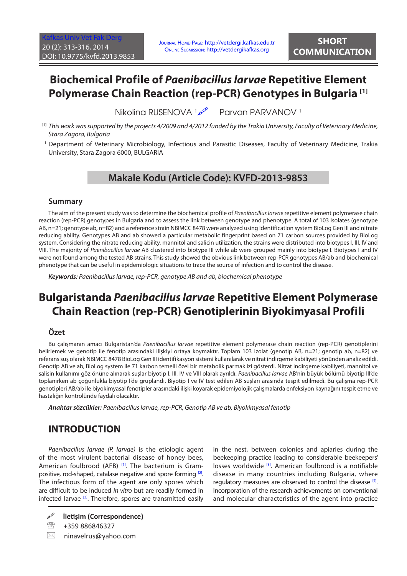# **Biochemical Profile of** *Paenibacillus larvae* **Repetitive Element Polymerase Chain Reaction (rep-PCR) Genotypes in Bulgaria [1]**

Nikoling RUSENOVA 1 Parvan PARVANOV 1

- $^{\scriptscriptstyle [1]}$  This work was supported by the projects 4/2009 and 4/2012 funded by the Trakia University, Faculty of Veterinary Medicine, *Stara Zagora, Bulgaria*
- 1 Department of Veterinary Microbiology, Infectious and Parasitic Diseases, Faculty of Veterinary Medicine, Trakia University, Stara Zagora 6000, BULGARIA

### **Makale Kodu (Article Code): KVFD-2013-9853**

#### **Summary**

The aim of the present study was to determine the biochemical profile of *Paenibacillus larvae* repetitive element polymerase chain reaction (rep-PCR) genotypes in Bulgaria and to assess the link between genotype and phenotype. A total of 103 isolates (genotype AB, n=21; genotype ab, n=82) and a reference strain NBIMCC 8478 were analyzed using identification system BioLog Gen III and nitrate reducing ability. Genotypes AB and ab showed a particular metabolic fingerprint based on 71 carbon sources provided by BioLog system. Considering the nitrate reducing ability, mannitol and salicin utilization, the strains were distributed into biotypes I, III, IV and VIII. The majority of *Paenibacillus larvae* АВ clustered into biotype III while ab were grouped mainly into biotype I. Biotypes I and IV were not found among the tested AB strains. This study showed the obvious link between rep-PCR genotypes AB/ab and biochemical phenotype that can be useful in epidemiologic situations to trace the source of infection and to control the disease.

*Keywords: Paenibacillus larvae, rep-PCR, genotype AB and ab, biochemical phenotype*

# **Bulgaristanda** *Paenibacillus larvae* **Repetitive Element Polymerase Chain Reaction (rep-PCR) Genotiplerinin Biyokimyasal Profili**

### **Özet**

Bu çalışmanın amacı Bulgaristan'da *Paenibacillus larvae* repetitive element polymerase chain reaction (rep-PCR) genotiplerini belirlemek ve genotip ile fenotip arasındaki ilişkiyi ortaya koymaktır. Toplam 103 izolat (genotip AB, n=21; genotip ab, n=82) ve referans suş olarak NBIMCC 8478 BioLog Gen III identifikasyon sistemi kullanılarak ve nitrat indirgeme kabiliyeti yönünden analiz edildi. Genotip AB ve ab, BioLog system ile 71 karbon temelli özel bir metabolik parmak izi gösterdi. Nitrat indirgeme kabiliyeti, mannitol ve salisin kullanımı göz önüne alınarak suşlar biyotip I, III, IV ve VIII olarak ayrıldı. *Paenibacillus larvae* АВ'nin büyük bölümü biyotip III'de toplanırken ab çoğunlukla biyotip I'de gruplandı. Biyotip I ve IV test edilen AB suşları arasında tespit edilmedi. Bu çalışma rep-PCR genotipleri AB/ab ile biyokimyasal fenotipler arasındaki ilişki koyarak epidemiyolojik çalışmalarda enfeksiyon kaynağını tespit etme ve hastalığın kontrolünde faydalı olacaktır.

*Anahtar sözcükler: Paenibacillus larvae, rep-PCR, Genotip AB ve ab, Biyokimyasal fenotip*

## **INTRODUCTION**

*Paenibacillus larvae (P. larvae)* is the etiologic agent of the most virulent bacterial disease of honey bees, American foulbrood (AFB) [\[1\].](#page-3-0) The bacterium is Grampositive, rod-shaped, catalase negative and spore forming [2]. The infectious form of the agent are only spores which are difficult to be induced *in vitro* but are readily formed in infected larvae [\[3\].](#page-3-0) Therefore, spores are transmitted easily in the nest, between colonies and apiaries during the beekeeping practice leading to considerable beekeepers' losses worldwide <sup>[[3\]](#page-3-0)</sup>. American foulbrood is a notifiable disease in many countries including Bulgaria, where regulatory measures are observed to control the disease [\[4\].](#page-3-0) Incorporation of the research achievements on conventional and molecular characteristics of the agent into practice

 $\boxtimes$  ninavelrus@yahoo.com

**İletişim (Correspondence)**

<sup>● +359 886846327</sup>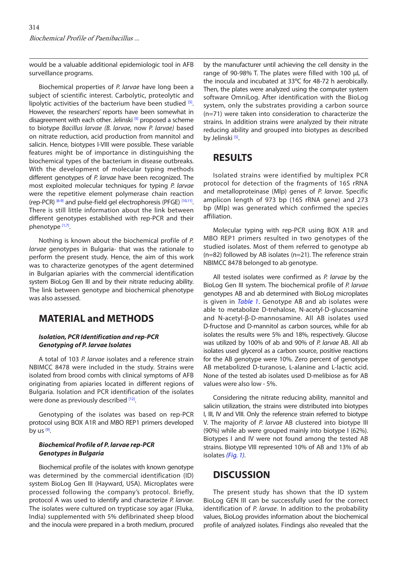<span id="page-1-0"></span>would be a valuable additional epidemiologic tool in AFB surveillance programs.

Biochemical properties of *P. larvae* have long been a subject of scientific interest. Carbolytic, proteolytic and lipolytic activities of the bacterium have been studied  $[5]$ . However, the researchers' reports have been somewhat in disagreement with each other. Jelinski [\[5\]](#page-3-0) proposed a scheme to biotype *Bacillus larvae (B. larvae*, now *P. larvae)* based on nitrate reduction, acid production from mannitol and salicin. Hence, biotypes I-VIII were possible. These variable features might be of importance in distinguishing the biochemical types of the bacterium in disease outbreaks. With the development of molecular typing methods different genotypes of *P. larvae* have been recognized. The most exploited molecular techniques for typing *P. larvae* were the repetitive element polymerase chain reaction (rep-PCR)  $[6-9]$  and pulse-field gel electrophoresis (PFGE)  $[10,11]$ . There is still little information about the link between different genotypes established with rep-PCR and their phenotype [\[1](#page-3-0),[7\]](#page-3-0).

Nothing is known about the biochemical profile of *P. larvae* genotypes in Bulgaria- that was the rationale to perform the present study. Hence, the aim of this work was to characterize genotypes of the agent determined in Bulgarian apiaries with the commercial identification system BioLog Gen III and by their nitrate reducing ability. The link between genotype and biochemical phenotype was also assessed.

### **MATERIAL and METHODS**

#### *Isolation, PCR Identification and rep-PCR Genotyping of P. larvae Isolates*

A total of 103 *P. larvae* isolates and a reference strain NBIMCC 8478 were included in the study. Strains were isolated from brood combs with clinical symptoms of AFB originating from apiaries located in different regions of Bulgaria. Isolation and PCR identification of the isolates were done as previously described [[12\].](#page-3-0)

Genotyping of the isolates was based on rep-PCR protocol using BOX A1R and MBO REP1 primers developed by us  $[9]$ .

#### *Biochemical Profile of P. larvae rep-PCR Genotypes in Bulgaria*

Biochemical profile of the isolates with known genotype was determined by the commercial identification (ID) system BioLog Gen III (Hayward, USA). Microplates were processed following the company's protocol. Briefly, protocol A was used to identify and characterize *P. larvae*. The isolates were cultured on trypticase soy agar (Fluka, India) supplemented with 5% defibrinated sheep blood and the inocula were prepared in a broth medium, procured

by the manufacturer until achieving the cell density in the range of 90-98% T. The plates were filled with 100 uL of the inocula and incubated at 33ºС for 48-72 h aerobically. Then, the plates were analyzed using the computer system software OmniLog. After identification with the BioLog system, only the substrates providing a carbon source (n=71) were taken into consideration to characterize the strains. In addition strains were analyzed by their nitrate reducing ability and grouped into biotypes as described by Jelinski<sup>[5]</sup>.

### **RESULTS**

Isolated strains were identified by multiplex PCR protocol for detection of the fragments of 16S rRNA and metalloproteinase (Mlp) genes of *P. larvae*. Specific amplicon length of 973 bp (16S rRNA gene) and 273 bp (Mlp) was generated which confirmed the species affiliation.

Molecular typing with rep-PCR using BOX A1R and MBO REP1 primers resulted in two genotypes of the studied isolates. Most of them referred to genotype ab (n=82) followed by AB isolates (n=21). The reference strain NBIMCC 8478 belonged to ab genotype.

All tested isolates were confirmed as *P. larvae* by the BioLog Gen III system. The biochemical profile of *P. larvae*  genotypes AB and ab determined with BioLog microplates is given in *[Table 1](#page-2-0)*. Genotype АВ and аb isolates were able to metabolize D-trehalose, N-аcetyl-D-glucosamine and N-acetyl-β-D-mannosamine. All AB isolates used D-fructose and D-mannitol as carbon sources, while for ab isolates the results were 5% and 18%, respectively. Glucose was utilized by 100% of ab and 90% of *P. larvae* АВ. All ab isolates used glycerol as a carbon source, positive reactions for the АВ genotype were 10%. Zero percent of genotype AB metabolized D-turanose, L-alanine and L-lactic acid. None of the tested ab isolates used D-melibiose as for АВ values were also low - 5%.

Considering the nitrate reducing ability, mannitol and salicin utilization, the strains were distributed into biotypes I, III, IV and VIII. Only the reference strain referred to biotype V. The majority of *P. larvae* АВ clustered into biotype III (90%) while ab were grouped mainly into biotype I (62%). Biotypes I and IV were not found among the tested AB strains. Biotype VIII represented 10% of AB and 13% of ab isolates *([Fig. 1\).](#page-2-0)*

### **DISCUSSION**

The present study has shown that the ID system BioLog GEN III can be successfully used for the correct identification of *P. larvae*. In addition to the probability values, BioLog provides information about the biochemical profile of analyzed isolates. Findings also revealed that the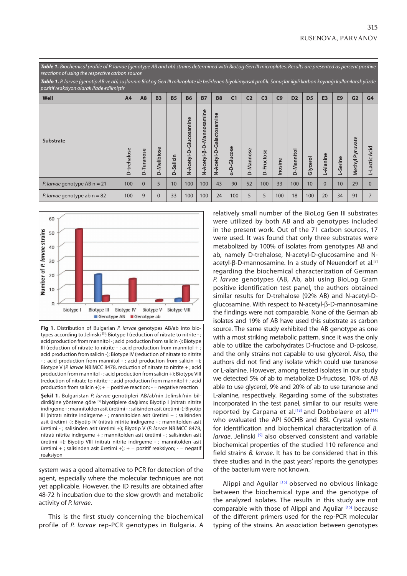<span id="page-2-0"></span>

| Table 1. Biochemical profile of P. larvae (genotype AB and ab) strains determined with BioLog Gen III microplates. Results are presented as percent positive<br>reactions of using the respective carbon source |                 |                                        |             |              |                                      |                              |                                 |                            |                |                |                    |                |                |                |                |                      |                  |
|-----------------------------------------------------------------------------------------------------------------------------------------------------------------------------------------------------------------|-----------------|----------------------------------------|-------------|--------------|--------------------------------------|------------------------------|---------------------------------|----------------------------|----------------|----------------|--------------------|----------------|----------------|----------------|----------------|----------------------|------------------|
| Tablo 1. P. larvae (genotip AB ve ab) suşlarının BioLog Gen III mikroplate ile belirlenen biyokimyasal profili. Sonuçlar ilgili karbon kaynağı kullanılarak yüzde<br>pozitif reaksiyon olarak ifade edilmiştir  |                 |                                        |             |              |                                      |                              |                                 |                            |                |                |                    |                |                |                |                |                      |                  |
| Well                                                                                                                                                                                                            | A <sub>4</sub>  | A <sub>8</sub>                         | <b>B3</b>   | <b>B5</b>    | <b>B6</b>                            | <b>B7</b>                    | <b>B8</b>                       | C <sub>1</sub>             | C <sub>2</sub> | C <sub>3</sub> | C9                 | D <sub>2</sub> | D <sub>5</sub> | E <sub>3</sub> | E <sub>9</sub> | G <sub>2</sub>       | G4               |
| Substrate                                                                                                                                                                                                       | -trehalose<br>≏ | $\mathbf \omega$<br>nos<br>Σ,<br>D-Tur | D-Melibiose | Salicin<br>≏ | Φ<br>min<br>cosal<br>릉<br>N-Acetyl-D | -Mannosamine<br>N-Acetyl-B-D | mine<br>Galactosa<br>N-Acetyl-D | -Glucose<br>$\overline{a}$ | D-Mannose      | D-Fructose     | osine<br>$\square$ | D-Mannitol     | Glycerol       | Alanine        | L-Serine       | Pyruvate<br>Methyl I | Acid<br>L-Lactic |
| <i>P. larvae</i> genotype AB $n = 21$                                                                                                                                                                           | 100             | $\Omega$                               | 5           | 10           | 100                                  | 100                          | 43                              | 90                         | 52             | 100            | 33                 | 100            | 10             | $\Omega$       | 10             | 29                   | $\Omega$         |
| <i>P. larvae</i> genotype ab $n = 82$                                                                                                                                                                           | 100             | 9                                      | $\Omega$    | 33           | 100                                  | 100                          | 24                              | 100                        | 5              | 5              | 100                | 18             | 100            | 20             | 34             | 91                   |                  |



**Fig 1.** Distribution of Bulgarian *P. larvae* genotypes AB/ab into biotypes according to Jelinski<sup>[5]</sup>; Biotype I (reduction of nitrate to nitrite - ; acid production from mannitol - ; acid production from salicin -); Biotype III (reduction of nitrate to nitrite - ; acid production from mannitol + ; acid production from salicin -); Biotype IV (reduction of nitrate to nitrite -; acid production from mannitol -; acid production from salicin +); Biotype V (*P. larvae* NBIMCC 8478, reduction of nitrate to nitrite + ; acid production from mannitol - ; acid production from salicin +); Biotype VIII (reduction of nitrate to nitrite - ; acid production from mannitol + ; acid production from salicin +);  $+$  = positive reaction; - = negative reaction **Şekil 1.** Bulgaristan *P. larvae* genotipleri AB/ab'nin Jelinski'nin bildirdiğine yönteme göre [5] biyotiplere dağılımı; Biyotip I (nitratı nitrite indirgeme - ; mannitolden asit üretimi - ; salisinden asit üretimi -); Biyotip III (nitratı nitrite indirgeme - ; mannitolden asit üretimi + ; salisinden asit üretimi -); Biyotip IV (nitratı nitrite indirgeme - ; mannitolden asit üretimi - ; salisinden asit üretimi +); Biyotip V (*P. larvae* NBIMCC 8478, nitratı nitrite indirgeme + ; mannitolden asit üretimi - ; salisinden asit üretimi +); Biyotip VIII (nitratı nitrite indirgeme - ; mannitolden asit üretimi + ; salisinden asit üretimi +); + = pozitif reaksiyon; - = negatif reaksiyon

system was a good alternative to PCR for detection of the agent, especially where the molecular techniques are not yet applicable. However, the ID results are obtained after 48-72 h incubation due to the slow growth and metabolic activity of *P. larvae*.

This is the first study concerning the biochemical profile of *P. larvae* rep-PCR genotypes in Bulgaria. A relatively small number of the BioLog Gen III substrates were utilized by both AB and ab genotypes included in the present work. Out of the 71 carbon sources, 17 were used. It was found that only three substrates were metabolized by 100% of isolates from genotypes AB and ab, namely D-trehalose, N-аcetyl-D-glucosamine and Nacetyl-β-D-mannosamine. In a study of Neuendorf et al.<sup>[7]</sup> regarding the biochemical characterization of German *P. larvae* genotypes (AB, Ab, ab) using BioLog Gram positive identification test panel, the authors obtained similar results for D-trehalose (92% AB) and N-аcetyl-Dglucosamine. With respect to N-acetyl-β-D-mannosamine the findings were not comparable. None of the German ab isolates and 19% of AB have used this substrate as carbon source. The same study exhibited the AB genotype as one with a most striking metabolic pattern, since it was the only able to utilize the carbohydrates D-fructose and D-psicose, and the only strains not capable to use glycerol. Also, the authors did not find any isolate which could use turanose or L-alanine. However, among tested isolates in our study we detected 5% of ab to metabolize D-fructose, 10% of AB able to use glycerol, 9% and 20% of ab to use turanose and L-alanine, respectively. Regarding some of the substrates incorporated in the test panel, similar to our results were reported by Carpana et al.<sup>[[13\]](#page-3-0)</sup> and Dobbelaere et al.<sup>[[14\]](#page-3-0)</sup> who evaluated the API 50CHB and BBL Crystal systems for identification and biochemical characterization of *B. larvae*. Jelinski <sup>[\[5\]](#page-3-0)</sup> also observed consistent and variable biochemical properties of the studied 110 reference and field strains *B. larvae*. It has to be considered that in this three studies and in the past years' reports the genotypes of the bacterium were not known.

Alippi and Aguilar [[15\]](#page-3-0) observed no obvious linkage between the biochemical type and the genotype of the analyzed isolates. The results in this study are not comparable with those of Alippi and Aguilar [\[15\]](#page-3-0) because of the different primers used for the rep-PCR molecular typing of the strains. An association between genotypes